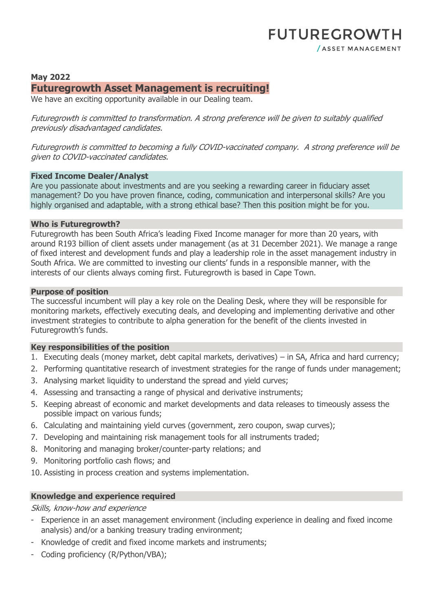# **May 2022 Futuregrowth Asset Management is recruiting!**

We have an exciting opportunity available in our Dealing team.

Futuregrowth is committed to transformation. A strong preference will be given to suitably qualified previously disadvantaged candidates.

Futuregrowth is committed to becoming a fully COVID-vaccinated company. A strong preference will be given to COVID-vaccinated candidates.

#### **Fixed Income Dealer/Analyst**

Are you passionate about investments and are you seeking a rewarding career in fiduciary asset management? Do you have proven finance, coding, communication and interpersonal skills? Are you highly organised and adaptable, with a strong ethical base? Then this position might be for you.

#### **Who is Futuregrowth?**

Futuregrowth has been South Africa's leading Fixed Income manager for more than 20 years, with around R193 billion of client assets under management (as at 31 December 2021). We manage a range of fixed interest and development funds and play a leadership role in the asset management industry in South Africa. We are committed to investing our clients' funds in a responsible manner, with the interests of our clients always coming first. Futuregrowth is based in Cape Town.

#### **Purpose of position**

The successful incumbent will play a key role on the Dealing Desk, where they will be responsible for monitoring markets, effectively executing deals, and developing and implementing derivative and other investment strategies to contribute to alpha generation for the benefit of the clients invested in Futuregrowth's funds.

# **Key responsibilities of the position**

- 1. Executing deals (money market, debt capital markets, derivatives) in SA, Africa and hard currency;
- 2. Performing quantitative research of investment strategies for the range of funds under management;
- 3. Analysing market liquidity to understand the spread and yield curves;
- 4. Assessing and transacting a range of physical and derivative instruments;
- 5. Keeping abreast of economic and market developments and data releases to timeously assess the possible impact on various funds;
- 6. Calculating and maintaining yield curves (government, zero coupon, swap curves);
- 7. Developing and maintaining risk management tools for all instruments traded;
- 8. Monitoring and managing broker/counter-party relations; and
- 9. Monitoring portfolio cash flows; and
- 10. Assisting in process creation and systems implementation.

# **Knowledge and experience required**

#### Skills, know-how and experience

- Experience in an asset management environment (including experience in dealing and fixed income analysis) and/or a banking treasury trading environment;
- Knowledge of credit and fixed income markets and instruments;
- Coding proficiency (R/Python/VBA);